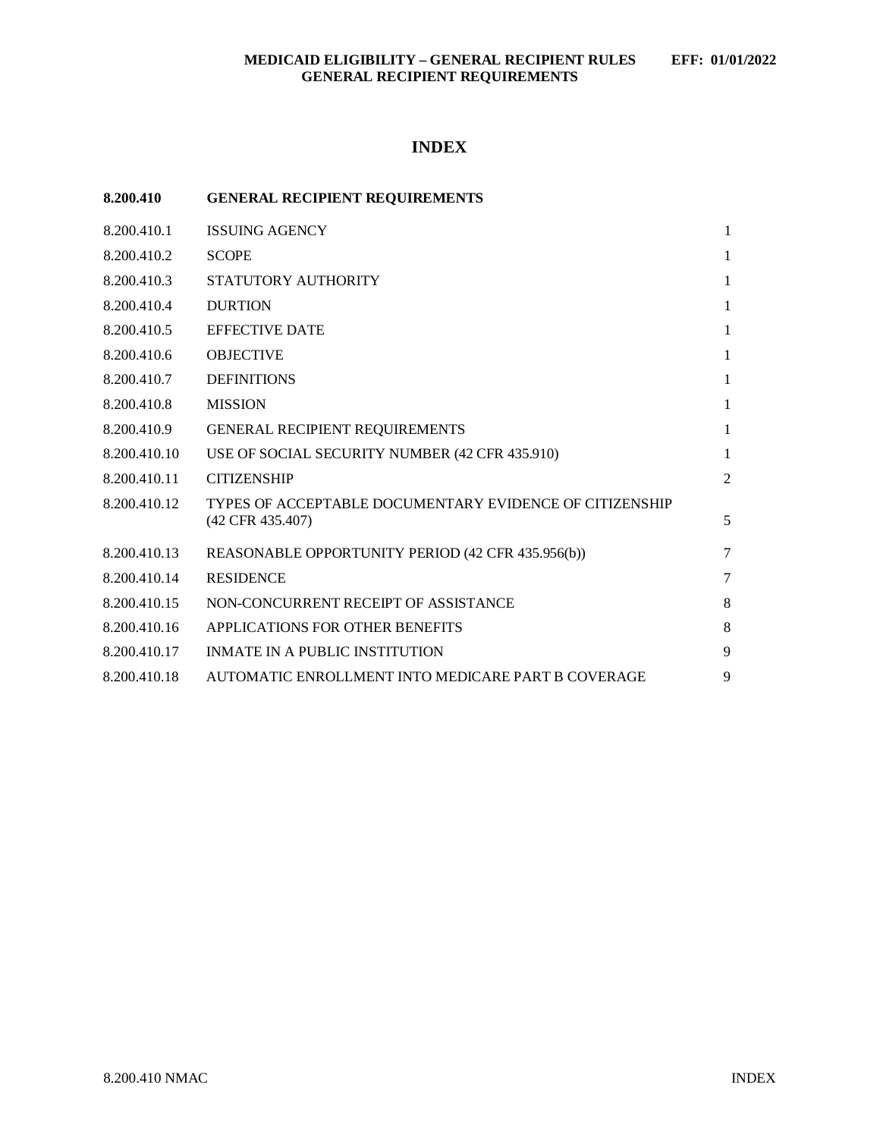# **INDEX**

| 8.200.410    | <b>GENERAL RECIPIENT REQUIREMENTS</b>                                       |              |
|--------------|-----------------------------------------------------------------------------|--------------|
| 8.200.410.1  | <b>ISSUING AGENCY</b>                                                       | $\mathbf{1}$ |
| 8.200.410.2  | <b>SCOPE</b>                                                                | $\mathbf{1}$ |
| 8.200.410.3  | STATUTORY AUTHORITY                                                         | $\mathbf{1}$ |
| 8.200.410.4  | <b>DURTION</b>                                                              | 1            |
| 8.200.410.5  | <b>EFFECTIVE DATE</b>                                                       | 1            |
| 8.200.410.6  | <b>OBJECTIVE</b>                                                            | $\mathbf{1}$ |
| 8.200.410.7  | <b>DEFINITIONS</b>                                                          | $\mathbf{1}$ |
| 8.200.410.8  | <b>MISSION</b>                                                              | 1            |
| 8.200.410.9  | GENERAL RECIPIENT REQUIREMENTS                                              | 1            |
| 8.200.410.10 | USE OF SOCIAL SECURITY NUMBER (42 CFR 435.910)                              | $\mathbf{1}$ |
| 8.200.410.11 | <b>CITIZENSHIP</b>                                                          | 2            |
| 8.200.410.12 | TYPES OF ACCEPTABLE DOCUMENTARY EVIDENCE OF CITIZENSHIP<br>(42 CFR 435.407) | 5            |
| 8.200.410.13 | REASONABLE OPPORTUNITY PERIOD (42 CFR 435.956(b))                           | 7            |
| 8.200.410.14 | <b>RESIDENCE</b>                                                            | $\tau$       |
| 8.200.410.15 | NON-CONCURRENT RECEIPT OF ASSISTANCE                                        | 8            |
| 8.200.410.16 | APPLICATIONS FOR OTHER BENEFITS                                             | 8            |
| 8.200.410.17 | <b>INMATE IN A PUBLIC INSTITUTION</b>                                       | 9            |
| 8.200.410.18 | AUTOMATIC ENROLLMENT INTO MEDICARE PART B COVERAGE                          | 9            |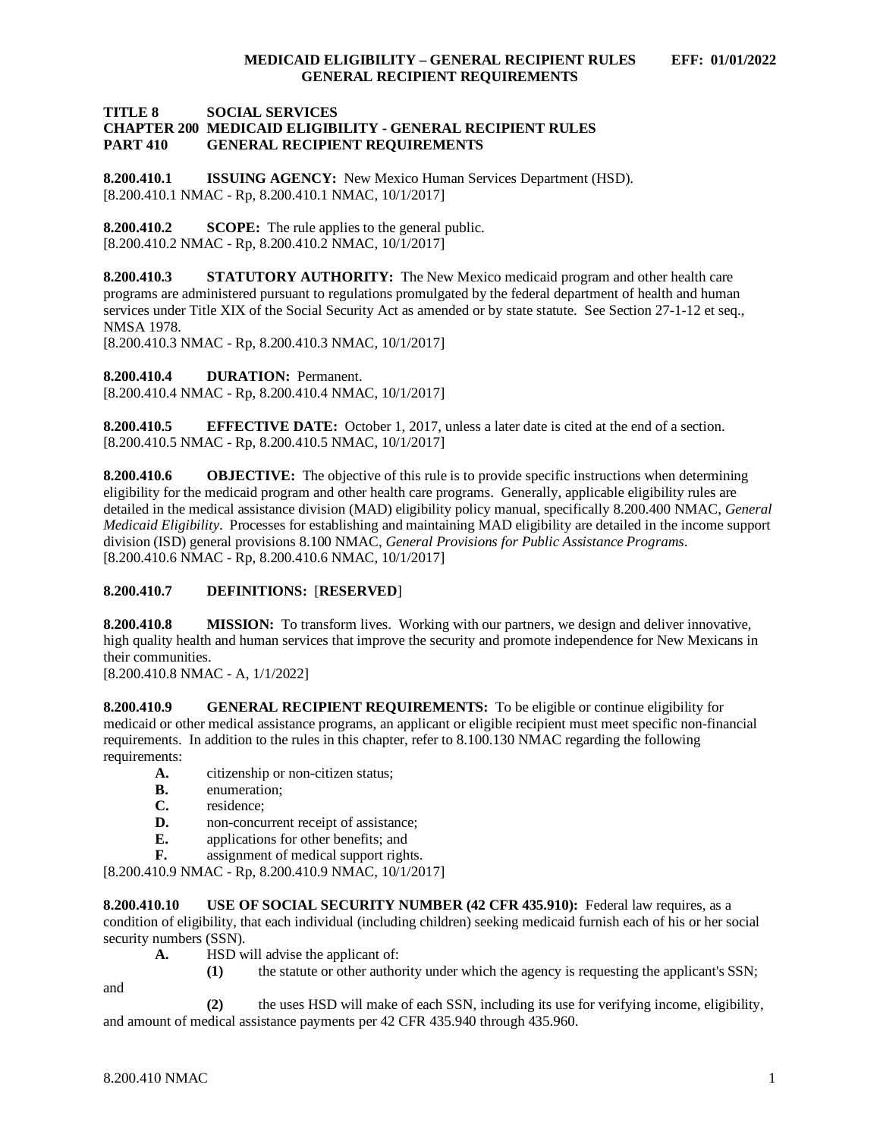#### **TITLE 8 SOCIAL SERVICES CHAPTER 200 MEDICAID ELIGIBILITY - GENERAL RECIPIENT RULES GENERAL RECIPIENT REQUIREMENTS**

<span id="page-1-0"></span>**8.200.410.1 ISSUING AGENCY:** New Mexico Human Services Department (HSD). [8.200.410.1 NMAC - Rp, 8.200.410.1 NMAC, 10/1/2017]

<span id="page-1-1"></span>**8.200.410.2 SCOPE:** The rule applies to the general public. [8.200.410.2 NMAC - Rp, 8.200.410.2 NMAC, 10/1/2017]

<span id="page-1-2"></span>**8.200.410.3 STATUTORY AUTHORITY:** The New Mexico medicaid program and other health care programs are administered pursuant to regulations promulgated by the federal department of health and human services under Title XIX of the Social Security Act as amended or by state statute. See Section 27-1-12 et seq., NMSA 1978.

[8.200.410.3 NMAC - Rp, 8.200.410.3 NMAC, 10/1/2017]

<span id="page-1-3"></span>**8.200.410.4 DURATION:** Permanent.

[8.200.410.4 NMAC - Rp, 8.200.410.4 NMAC, 10/1/2017]

<span id="page-1-4"></span>**8.200.410.5 EFFECTIVE DATE:** October 1, 2017, unless a later date is cited at the end of a section. [8.200.410.5 NMAC - Rp, 8.200.410.5 NMAC, 10/1/2017]

<span id="page-1-5"></span>**8.200.410.6 OBJECTIVE:** The objective of this rule is to provide specific instructions when determining eligibility for the medicaid program and other health care programs. Generally, applicable eligibility rules are detailed in the medical assistance division (MAD) eligibility policy manual, specifically 8.200.400 NMAC, *General Medicaid Eligibility*. Processes for establishing and maintaining MAD eligibility are detailed in the income support division (ISD) general provisions 8.100 NMAC, *General Provisions for Public Assistance Programs*. [8.200.410.6 NMAC - Rp, 8.200.410.6 NMAC, 10/1/2017]

### <span id="page-1-6"></span>**8.200.410.7 DEFINITIONS:** [**RESERVED**]

<span id="page-1-7"></span>**8.200.410.8 MISSION:** To transform lives. Working with our partners, we design and deliver innovative, high quality health and human services that improve the security and promote independence for New Mexicans in their communities.

[8.200.410.8 NMAC - A, 1/1/2022]

<span id="page-1-8"></span>**8.200.410.9 GENERAL RECIPIENT REQUIREMENTS:** To be eligible or continue eligibility for medicaid or other medical assistance programs, an applicant or eligible recipient must meet specific non-financial requirements. In addition to the rules in this chapter, refer to 8.100.130 NMAC regarding the following requirements:

- **A.** citizenship or non-citizen status;<br>**B.** enumeration:
- **B.** enumeration;<br>**C.** residence:
- residence:
- **D.** non-concurrent receipt of assistance;
- **E.** applications for other benefits; and **F.** assignment of medical support right
- **F.** assignment of medical support rights.

[8.200.410.9 NMAC - Rp, 8.200.410.9 NMAC, 10/1/2017]

<span id="page-1-9"></span>**8.200.410.10 USE OF SOCIAL SECURITY NUMBER (42 CFR 435.910):** Federal law requires, as a condition of eligibility, that each individual (including children) seeking medicaid furnish each of his or her social security numbers (SSN).

**A.** HSD will advise the applicant of:

and

**(1)** the statute or other authority under which the agency is requesting the applicant's SSN;

**(2)** the uses HSD will make of each SSN, including its use for verifying income, eligibility, and amount of medical assistance payments per 42 CFR 435.940 through 435.960.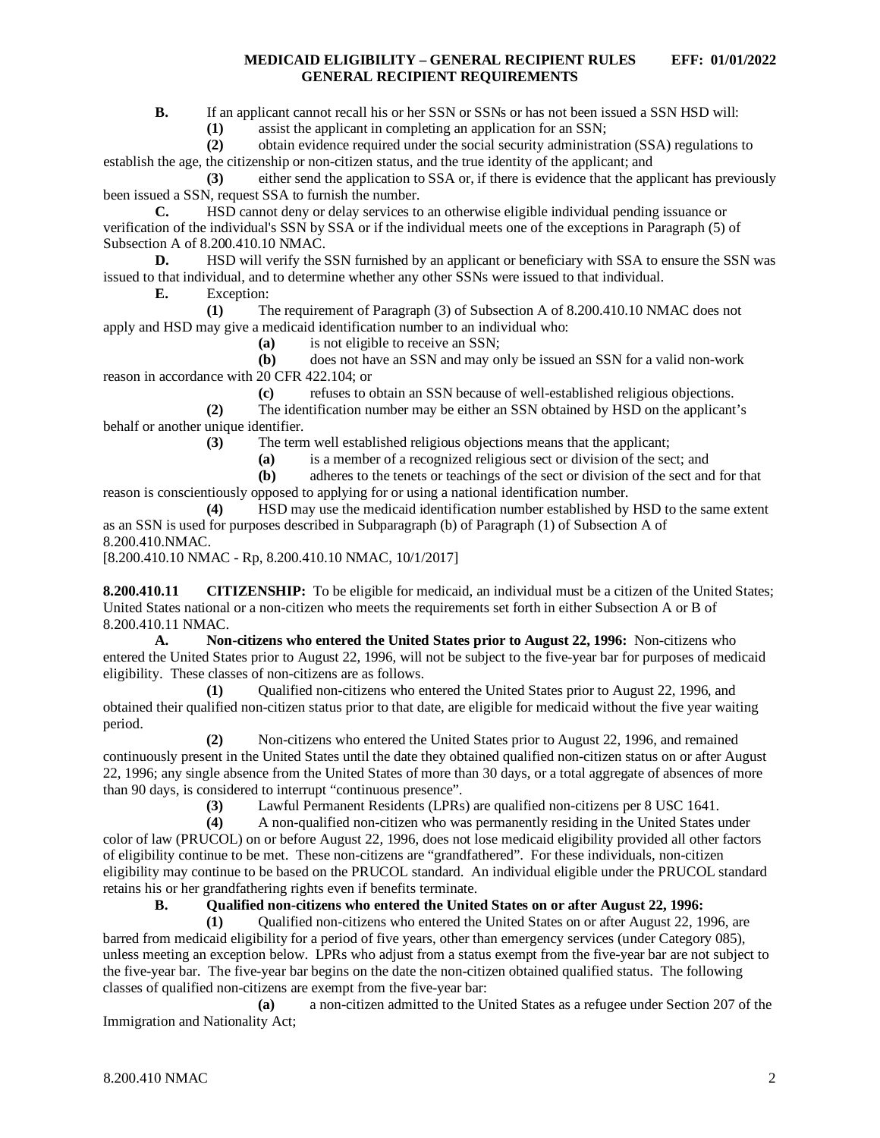**B.** If an applicant cannot recall his or her SSN or SSNs or has not been issued a SSN HSD will:

**(1)** assist the applicant in completing an application for an SSN;

**(2)** obtain evidence required under the social security administration (SSA) regulations to establish the age, the citizenship or non-citizen status, and the true identity of the applicant; and

**(3)** either send the application to SSA or, if there is evidence that the applicant has previously been issued a SSN, request SSA to furnish the number.

**C.** HSD cannot deny or delay services to an otherwise eligible individual pending issuance or verification of the individual's SSN by SSA or if the individual meets one of the exceptions in Paragraph (5) of Subsection A of 8.200.410.10 NMAC.

**D.** HSD will verify the SSN furnished by an applicant or beneficiary with SSA to ensure the SSN was issued to that individual, and to determine whether any other SSNs were issued to that individual.

**E.** Exception:

**(1)** The requirement of Paragraph (3) of Subsection A of 8.200.410.10 NMAC does not apply and HSD may give a medicaid identification number to an individual who:

**(a)** is not eligible to receive an SSN;

**(b)** does not have an SSN and may only be issued an SSN for a valid non-work reason in accordance with 20 CFR 422.104; or

**(c)** refuses to obtain an SSN because of well-established religious objections.

**(2)** The identification number may be either an SSN obtained by HSD on the applicant's behalf or another unique identifier.

**(3)** The term well established religious objections means that the applicant;

**(a)** is a member of a recognized religious sect or division of the sect; and

**(b)** adheres to the tenets or teachings of the sect or division of the sect and for that reason is conscientiously opposed to applying for or using a national identification number.

**(4)** HSD may use the medicaid identification number established by HSD to the same extent as an SSN is used for purposes described in Subparagraph (b) of Paragraph (1) of Subsection A of 8.200.410.NMAC.

[8.200.410.10 NMAC - Rp, 8.200.410.10 NMAC, 10/1/2017]

<span id="page-2-0"></span>**8.200.410.11 CITIZENSHIP:** To be eligible for medicaid, an individual must be a citizen of the United States; United States national or a non-citizen who meets the requirements set forth in either Subsection A or B of 8.200.410.11 NMAC.

**A. Non-citizens who entered the United States prior to August 22, 1996:** Non-citizens who entered the United States prior to August 22, 1996, will not be subject to the five-year bar for purposes of medicaid eligibility. These classes of non-citizens are as follows.

**(1)** Qualified non-citizens who entered the United States prior to August 22, 1996, and obtained their qualified non-citizen status prior to that date, are eligible for medicaid without the five year waiting period.

**(2)** Non-citizens who entered the United States prior to August 22, 1996, and remained continuously present in the United States until the date they obtained qualified non-citizen status on or after August 22, 1996; any single absence from the United States of more than 30 days, or a total aggregate of absences of more than 90 days, is considered to interrupt "continuous presence".<br>(3) Lawful Permanent Residents (LPRs)

**(3)** Lawful Permanent Residents (LPRs) are qualified non-citizens per 8 USC 1641.

**(4)** A non-qualified non-citizen who was permanently residing in the United States under color of law (PRUCOL) on or before August 22, 1996, does not lose medicaid eligibility provided all other factors of eligibility continue to be met. These non-citizens are "grandfathered". For these individuals, non-citizen eligibility may continue to be based on the PRUCOL standard. An individual eligible under the PRUCOL standard retains his or her grandfathering rights even if benefits terminate.

# **B. Qualified non-citizens who entered the United States on or after August 22, 1996:**

**(1)** Qualified non-citizens who entered the United States on or after August 22, 1996, are barred from medicaid eligibility for a period of five years, other than emergency services (under Category 085), unless meeting an exception below. LPRs who adjust from a status exempt from the five-year bar are not subject to the five-year bar. The five-year bar begins on the date the non-citizen obtained qualified status. The following classes of qualified non-citizens are exempt from the five-year bar:

**(a)** a non-citizen admitted to the United States as a refugee under Section 207 of the Immigration and Nationality Act;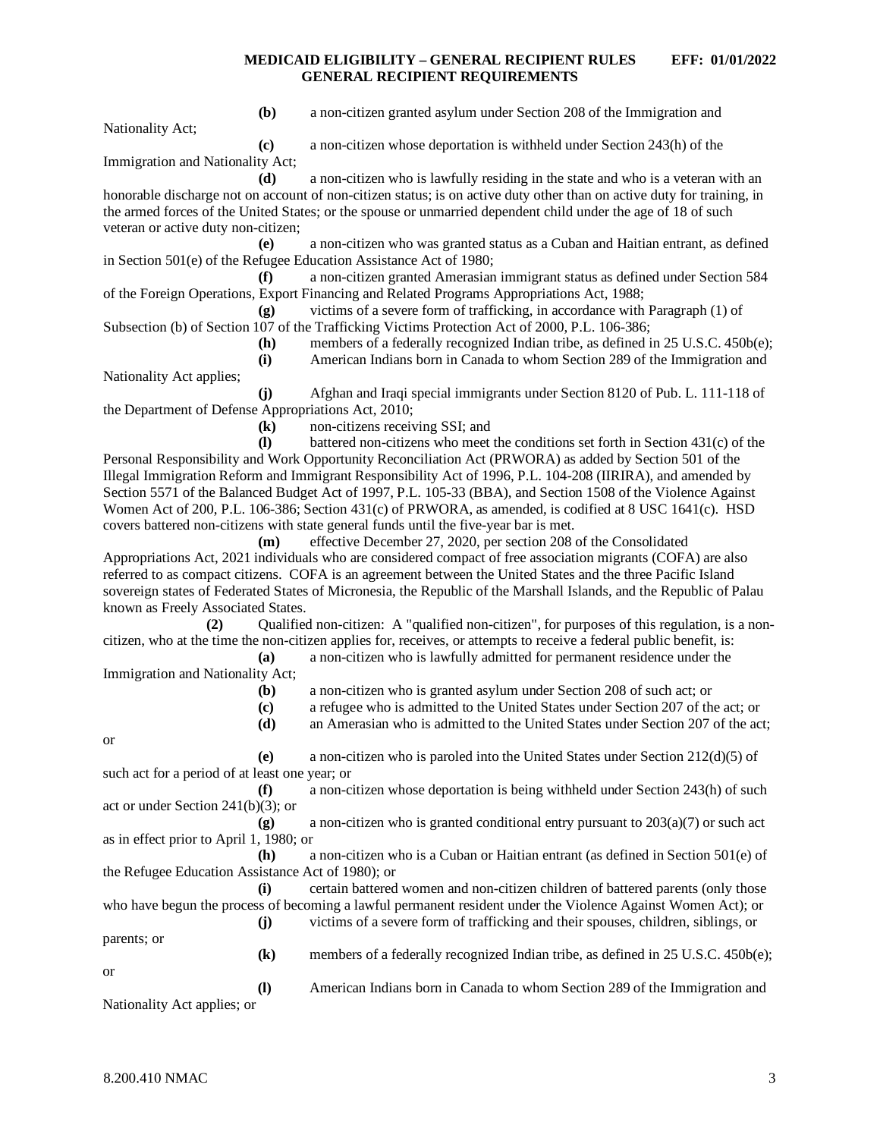**(b)** a non-citizen granted asylum under Section 208 of the Immigration and

Nationality Act;

**(c)** a non-citizen whose deportation is withheld under Section 243(h) of the Immigration and Nationality Act;

**(d)** a non-citizen who is lawfully residing in the state and who is a veteran with an honorable discharge not on account of non-citizen status; is on active duty other than on active duty for training, in the armed forces of the United States; or the spouse or unmarried dependent child under the age of 18 of such

veteran or active duty non-citizen;<br>(e) **(e)** a non-citizen who was granted status as a Cuban and Haitian entrant, as defined in Section 501(e) of the Refugee Education Assistance Act of 1980;

**(f)** a non-citizen granted Amerasian immigrant status as defined under Section 584 of the Foreign Operations, Export Financing and Related Programs Appropriations Act, 1988;

**(g)** victims of a severe form of trafficking, in accordance with Paragraph (1) of Subsection (b) of Section 107 of the Trafficking Victims Protection Act of 2000, P.L. 106-386;

**(h)** members of a federally recognized Indian tribe, as defined in 25 U.S.C. 450b(e); **(i)** American Indians born in Canada to whom Section 289 of the Immigration and

Nationality Act applies;

**(j)** Afghan and Iraqi special immigrants under Section 8120 of Pub. L. 111-118 of the Department of Defense Appropriations Act, 2010;

**(k)** non-citizens receiving SSI; and

**(l)** battered non-citizens who meet the conditions set forth in Section 431(c) of the Personal Responsibility and Work Opportunity Reconciliation Act (PRWORA) as added by Section 501 of the Illegal Immigration Reform and Immigrant Responsibility Act of 1996, P.L. 104-208 (IIRIRA), and amended by Section 5571 of the Balanced Budget Act of 1997, P.L. 105-33 (BBA), and Section 1508 of the Violence Against Women Act of 200, P.L. 106-386; Section 431(c) of PRWORA, as amended, is codified at 8 USC 1641(c). HSD covers battered non-citizens with state general funds until the five-year bar is met.

**(m)** effective December 27, 2020, per section 208 of the Consolidated Appropriations Act, 2021 individuals who are considered compact of free association migrants (COFA) are also referred to as compact citizens. COFA is an agreement between the United States and the three Pacific Island sovereign states of Federated States of Micronesia, the Republic of the Marshall Islands, and the Republic of Palau known as Freely Associated States.

**(2)** Qualified non-citizen: A "qualified non-citizen", for purposes of this regulation, is a noncitizen, who at the time the non-citizen applies for, receives, or attempts to receive a federal public benefit, is:

**(a)** a non-citizen who is lawfully admitted for permanent residence under the Immigration and Nationality Act;

**(b)** a non-citizen who is granted asylum under Section 208 of such act; or

- **(c)** a refugee who is admitted to the United States under Section 207 of the act; or
- **(d)** an Amerasian who is admitted to the United States under Section 207 of the act;

or

**(e)** a non-citizen who is paroled into the United States under Section 212(d)(5) of such act for a period of at least one year; or

**(f)** a non-citizen whose deportation is being withheld under Section 243(h) of such act or under Section 241(b)(3); or

**(g)** a non-citizen who is granted conditional entry pursuant to 203(a)(7) or such act as in effect prior to April 1, 1980; or

**(h)** a non-citizen who is a Cuban or Haitian entrant (as defined in Section 501(e) of the Refugee Education Assistance Act of 1980); or

**(i)** certain battered women and non-citizen children of battered parents (only those who have begun the process of becoming a lawful permanent resident under the Violence Against Women Act); or **(j)** victims of a severe form of trafficking and their spouses, children, siblings, or parents; or

**(k)** members of a federally recognized Indian tribe, as defined in 25 U.S.C. 450b(e); or

**(l)** American Indians born in Canada to whom Section 289 of the Immigration and Nationality Act applies; or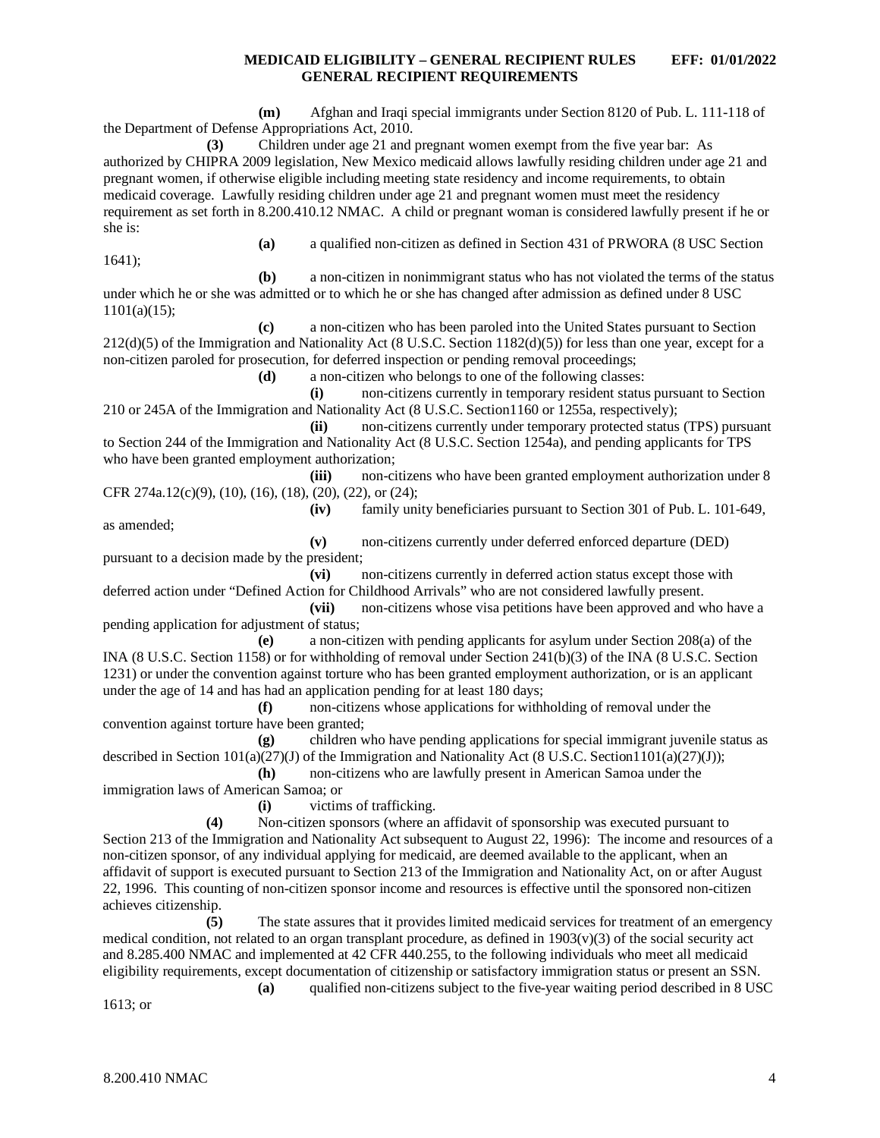**(m)** Afghan and Iraqi special immigrants under Section 8120 of Pub. L. 111-118 of the Department of Defense Appropriations Act, 2010. **(3)** Children under age 21 and pregnant women exempt from the five year bar: As authorized by CHIPRA 2009 legislation, New Mexico medicaid allows lawfully residing children under age 21 and pregnant women, if otherwise eligible including meeting state residency and income requirements, to obtain medicaid coverage. Lawfully residing children under age 21 and pregnant women must meet the residency requirement as set forth in 8.200.410.12 NMAC. A child or pregnant woman is considered lawfully present if he or she is: **(a)** a qualified non-citizen as defined in Section 431 of PRWORA (8 USC Section 1641); **(b)** a non-citizen in nonimmigrant status who has not violated the terms of the status under which he or she was admitted or to which he or she has changed after admission as defined under 8 USC 1101(a)(15);

**(c)** a non-citizen who has been paroled into the United States pursuant to Section 212(d)(5) of the Immigration and Nationality Act (8 U.S.C. Section 1182(d)(5)) for less than one year, except for a non-citizen paroled for prosecution, for deferred inspection or pending removal proceedings;

**(d)** a non-citizen who belongs to one of the following classes:

**(i)** non-citizens currently in temporary resident status pursuant to Section 210 or 245A of the Immigration and Nationality Act (8 U.S.C. Section1160 or 1255a, respectively);

**(ii)** non-citizens currently under temporary protected status (TPS) pursuant to Section 244 of the Immigration and Nationality Act (8 U.S.C. Section 1254a), and pending applicants for TPS who have been granted employment authorization;

**(iii)** non-citizens who have been granted employment authorization under 8 CFR 274a.12(c)(9), (10), (16), (18), (20), (22), or (24);

**(iv)** family unity beneficiaries pursuant to Section 301 of Pub. L. 101-649,

as amended;

**(v)** non-citizens currently under deferred enforced departure (DED) pursuant to a decision made by the president;

**(vi)** non-citizens currently in deferred action status except those with deferred action under "Defined Action for Childhood Arrivals" who are not considered lawfully present.

**(vii)** non-citizens whose visa petitions have been approved and who have a pending application for adjustment of status;

**(e)** a non-citizen with pending applicants for asylum under Section 208(a) of the INA (8 U.S.C. Section 1158) or for withholding of removal under Section 241(b)(3) of the INA (8 U.S.C. Section 1231) or under the convention against torture who has been granted employment authorization, or is an applicant under the age of 14 and has had an application pending for at least 180 days;

**(f)** non-citizens whose applications for withholding of removal under the convention against torture have been granted;

**(g)** children who have pending applications for special immigrant juvenile status as described in Section 101(a)(27)(J) of the Immigration and Nationality Act (8 U.S.C. Section1101(a)(27)(J));

**(h)** non-citizens who are lawfully present in American Samoa under the immigration laws of American Samoa; or

**(i)** victims of trafficking.

**(4)** Non-citizen sponsors (where an affidavit of sponsorship was executed pursuant to Section 213 of the Immigration and Nationality Act subsequent to August 22, 1996): The income and resources of a non-citizen sponsor, of any individual applying for medicaid, are deemed available to the applicant, when an affidavit of support is executed pursuant to Section 213 of the Immigration and Nationality Act, on or after August 22, 1996. This counting of non-citizen sponsor income and resources is effective until the sponsored non-citizen achieves citizenship.

**(5)** The state assures that it provides limited medicaid services for treatment of an emergency medical condition, not related to an organ transplant procedure, as defined in  $1903(v)(3)$  of the social security act and 8.285.400 NMAC and implemented at 42 CFR 440.255, to the following individuals who meet all medicaid eligibility requirements, except documentation of citizenship or satisfactory immigration status or present an SSN. **(a)** qualified non-citizens subject to the five-year waiting period described in 8 USC

1613; or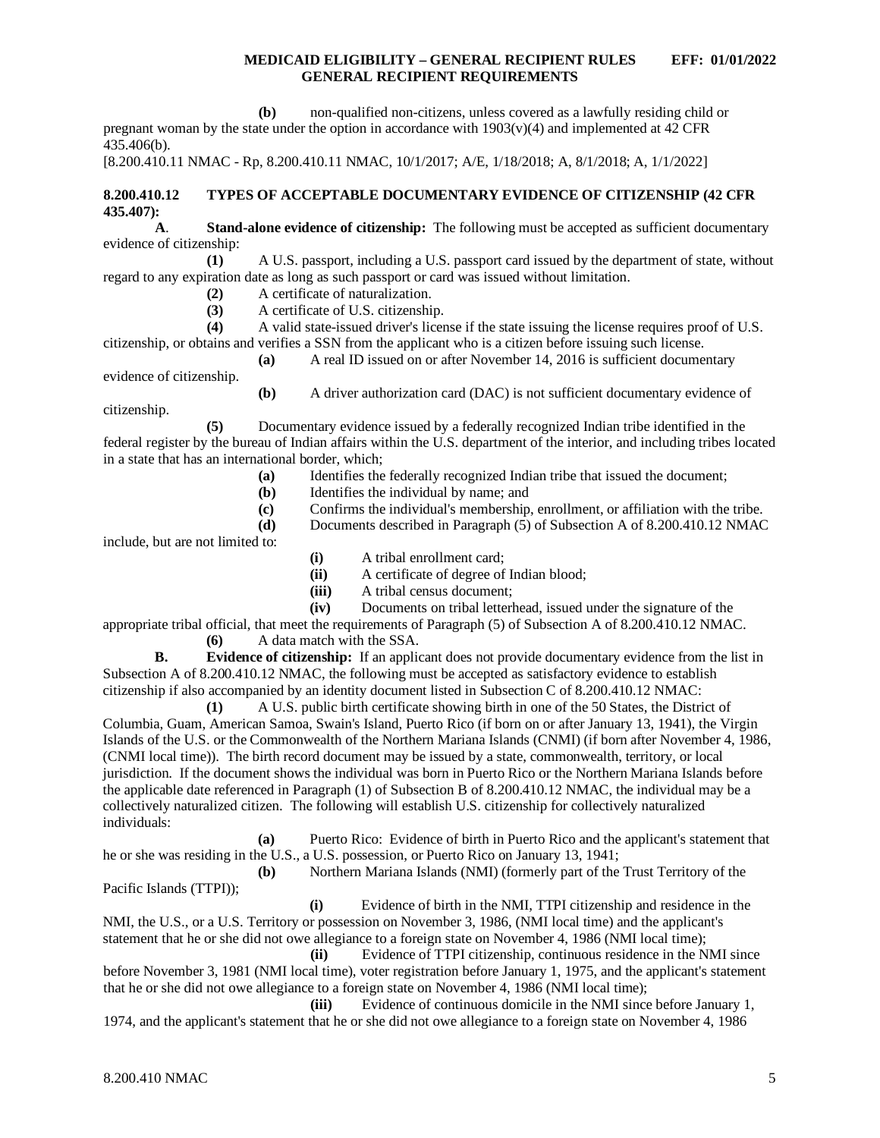**(b)** non-qualified non-citizens, unless covered as a lawfully residing child or pregnant woman by the state under the option in accordance with  $1903(v)(4)$  and implemented at 42 CFR 435.406(b).

[8.200.410.11 NMAC - Rp, 8.200.410.11 NMAC, 10/1/2017; A/E, 1/18/2018; A, 8/1/2018; A, 1/1/2022]

## <span id="page-5-0"></span>**8.200.410.12 TYPES OF ACCEPTABLE DOCUMENTARY EVIDENCE OF CITIZENSHIP (42 CFR 435.407):**

**A**. **Stand-alone evidence of citizenship:** The following must be accepted as sufficient documentary evidence of citizenship:

**(1)** A U.S. passport, including a U.S. passport card issued by the department of state, without regard to any expiration date as long as such passport or card was issued without limitation.

(2) A certificate of naturalization.<br> **(3)** A certificate of U.S. citizenship

**(3)** A certificate of U.S. citizenship.

**(4)** A valid state-issued driver's license if the state issuing the license requires proof of U.S. citizenship, or obtains and verifies a SSN from the applicant who is a citizen before issuing such license.

**(a)** A real ID issued on or after November 14, 2016 is sufficient documentary

evidence of citizenship.

**(b)** A driver authorization card (DAC) is not sufficient documentary evidence of

citizenship.

**(5)** Documentary evidence issued by a federally recognized Indian tribe identified in the federal register by the bureau of Indian affairs within the U.S. department of the interior, and including tribes located in a state that has an international border, which;

- **(a)** Identifies the federally recognized Indian tribe that issued the document;
- **(b)** Identifies the individual by name; and
- **(c)** Confirms the individual's membership, enrollment, or affiliation with the tribe.

**(d)** Documents described in Paragraph (5) of Subsection A of 8.200.410.12 NMAC

include, but are not limited to:

- **(i)** A tribal enrollment card;
- **(ii)** A certificate of degree of Indian blood;
- **(iii)** A tribal census document;<br>**(iv)** Documents on tribal letter
- Documents on tribal letterhead, issued under the signature of the

appropriate tribal official, that meet the requirements of Paragraph (5) of Subsection A of 8.200.410.12 NMAC. **(6)** A data match with the SSA.

**B. Evidence of citizenship:** If an applicant does not provide documentary evidence from the list in Subsection A of 8.200.410.12 NMAC, the following must be accepted as satisfactory evidence to establish citizenship if also accompanied by an identity document listed in Subsection C of 8.200.410.12 NMAC:

**(1)** A U.S. public birth certificate showing birth in one of the 50 States, the District of Columbia, Guam, American Samoa, Swain's Island, Puerto Rico (if born on or after January 13, 1941), the Virgin Islands of the U.S. or the Commonwealth of the Northern Mariana Islands (CNMI) (if born after November 4, 1986, (CNMI local time)). The birth record document may be issued by a state, commonwealth, territory, or local jurisdiction. If the document shows the individual was born in Puerto Rico or the Northern Mariana Islands before the applicable date referenced in Paragraph (1) of Subsection B of 8.200.410.12 NMAC, the individual may be a collectively naturalized citizen. The following will establish U.S. citizenship for collectively naturalized individuals:

**(a)** Puerto Rico: Evidence of birth in Puerto Rico and the applicant's statement that he or she was residing in the U.S., a U.S. possession, or Puerto Rico on January 13, 1941;

**(b)** Northern Mariana Islands (NMI) (formerly part of the Trust Territory of the Pacific Islands (TTPI));

**(i)** Evidence of birth in the NMI, TTPI citizenship and residence in the NMI, the U.S., or a U.S. Territory or possession on November 3, 1986, (NMI local time) and the applicant's statement that he or she did not owe allegiance to a foreign state on November 4, 1986 (NMI local time);

**(ii)** Evidence of TTPI citizenship, continuous residence in the NMI since before November 3, 1981 (NMI local time), voter registration before January 1, 1975, and the applicant's statement that he or she did not owe allegiance to a foreign state on November 4, 1986 (NMI local time);

**(iii)** Evidence of continuous domicile in the NMI since before January 1, 1974, and the applicant's statement that he or she did not owe allegiance to a foreign state on November 4, 1986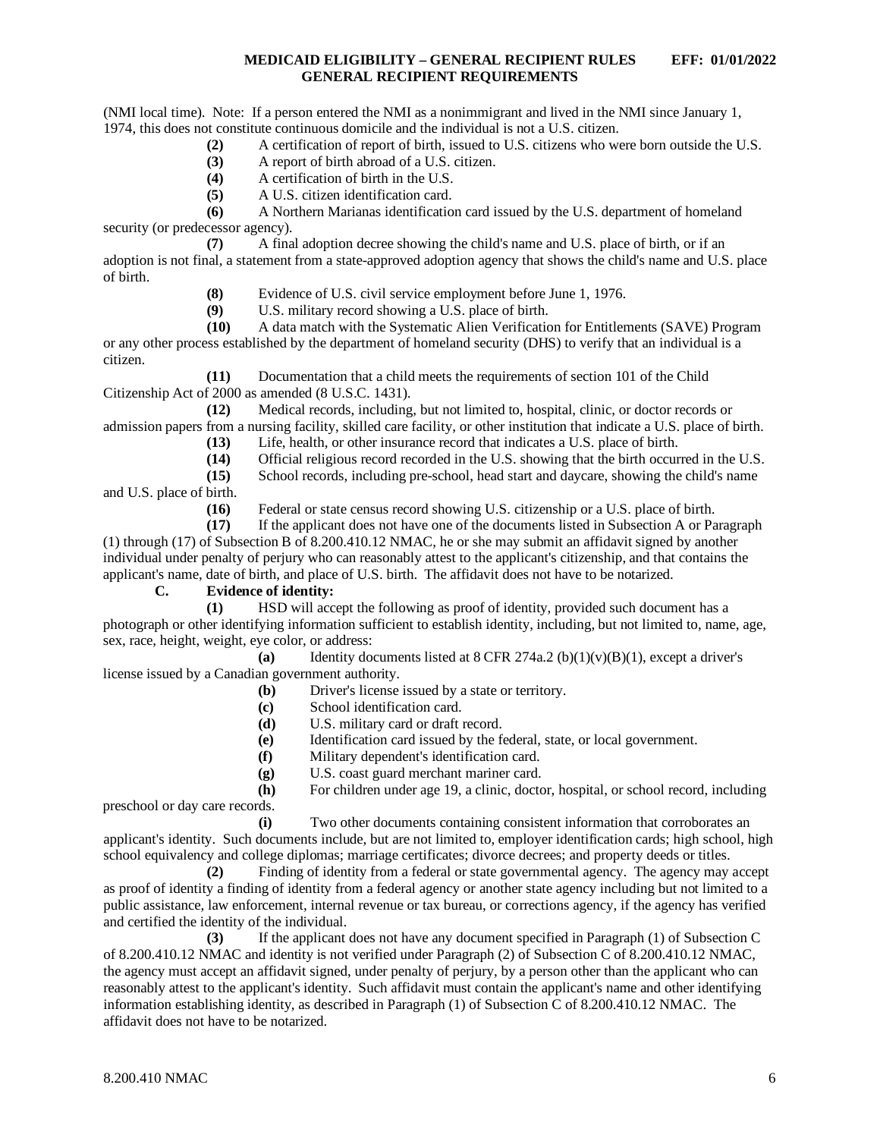(NMI local time). Note: If a person entered the NMI as a nonimmigrant and lived in the NMI since January 1, 1974, this does not constitute continuous domicile and the individual is not a U.S. citizen.

- **(2)** A certification of report of birth, issued to U.S. citizens who were born outside the U.S.
- **(3)** A report of birth abroad of a U.S. citizen.
- **(4)** A certification of birth in the U.S.
- **(5)** A U.S. citizen identification card.

**(6)** A Northern Marianas identification card issued by the U.S. department of homeland security (or predecessor agency).

**(7)** A final adoption decree showing the child's name and U.S. place of birth, or if an adoption is not final, a statement from a state-approved adoption agency that shows the child's name and U.S. place of birth.

**(8)** Evidence of U.S. civil service employment before June 1, 1976.<br>**(9)** U.S. military record showing a U.S. place of birth.

**(9)** U.S. military record showing a U.S. place of birth.

**(10)** A data match with the Systematic Alien Verification for Entitlements (SAVE) Program or any other process established by the department of homeland security (DHS) to verify that an individual is a citizen.

**(11)** Documentation that a child meets the requirements of section 101 of the Child Citizenship Act of 2000 as amended (8 U.S.C. 1431).

**(12)** Medical records, including, but not limited to, hospital, clinic, or doctor records or admission papers from a nursing facility, skilled care facility, or other institution that indicate a U.S. place of birth.

- **(13)** Life, health, or other insurance record that indicates a U.S. place of birth.
- **(14)** Official religious record recorded in the U.S. showing that the birth occurred in the U.S.
- **(15)** School records, including pre-school, head start and daycare, showing the child's name and U.S. place of birth.

**(16)** Federal or state census record showing U.S. citizenship or a U.S. place of birth.

**(17)** If the applicant does not have one of the documents listed in Subsection A or Paragraph (1) through (17) of Subsection B of 8.200.410.12 NMAC, he or she may submit an affidavit signed by another individual under penalty of perjury who can reasonably attest to the applicant's citizenship, and that contains the applicant's name, date of birth, and place of U.S. birth. The affidavit does not have to be notarized.

**C. Evidence of identity:**

**(1)** HSD will accept the following as proof of identity, provided such document has a photograph or other identifying information sufficient to establish identity, including, but not limited to, name, age, sex, race, height, weight, eye color, or address:

**(a)** Identity documents listed at 8 CFR 274a.2 (b)(1)(v)(B)(1), except a driver's

license issued by a Canadian government authority.

- **(b)** Driver's license issued by a state or territory.
- **(c)** School identification card.
- **(d)** U.S. military card or draft record.
- **(e)** Identification card issued by the federal, state, or local government.
- **(f)** Military dependent's identification card.
- **(g)** U.S. coast guard merchant mariner card.

**(h)** For children under age 19, a clinic, doctor, hospital, or school record, including preschool or day care records.

**(i)** Two other documents containing consistent information that corroborates an applicant's identity. Such documents include, but are not limited to, employer identification cards; high school, high school equivalency and college diplomas; marriage certificates; divorce decrees; and property deeds or titles.

**(2)** Finding of identity from a federal or state governmental agency. The agency may accept as proof of identity a finding of identity from a federal agency or another state agency including but not limited to a public assistance, law enforcement, internal revenue or tax bureau, or corrections agency, if the agency has verified and certified the identity of the individual.

**(3)** If the applicant does not have any document specified in Paragraph (1) of Subsection C of 8.200.410.12 NMAC and identity is not verified under Paragraph (2) of Subsection C of 8.200.410.12 NMAC, the agency must accept an affidavit signed, under penalty of perjury, by a person other than the applicant who can reasonably attest to the applicant's identity. Such affidavit must contain the applicant's name and other identifying information establishing identity, as described in Paragraph (1) of Subsection C of 8.200.410.12 NMAC. The affidavit does not have to be notarized.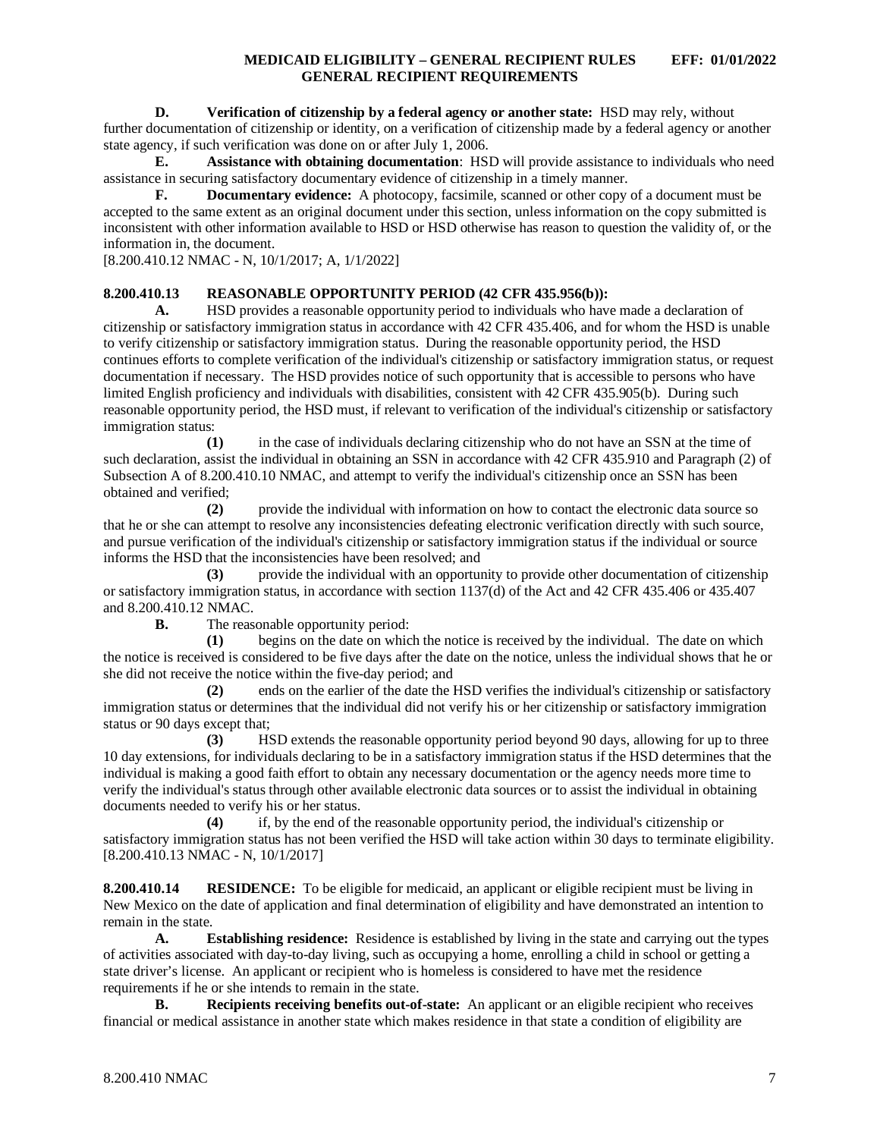#### **D. Verification of citizenship by a federal agency or another state:** HSD may rely, without

further documentation of citizenship or identity, on a verification of citizenship made by a federal agency or another state agency, if such verification was done on or after July 1, 2006.

**E. Assistance with obtaining documentation**: HSD will provide assistance to individuals who need assistance in securing satisfactory documentary evidence of citizenship in a timely manner.

**F. Documentary evidence:** A photocopy, facsimile, scanned or other copy of a document must be accepted to the same extent as an original document under this section, unless information on the copy submitted is inconsistent with other information available to HSD or HSD otherwise has reason to question the validity of, or the information in, the document.

[8.200.410.12 NMAC - N, 10/1/2017; A, 1/1/2022]

#### <span id="page-7-0"></span>**8.200.410.13 REASONABLE OPPORTUNITY PERIOD (42 CFR 435.956(b)):**

**A.** HSD provides a reasonable opportunity period to individuals who have made a declaration of citizenship or satisfactory immigration status in accordance with 42 CFR 435.406, and for whom the HSD is unable to verify citizenship or satisfactory immigration status. During the reasonable opportunity period, the HSD continues efforts to complete verification of the individual's citizenship or satisfactory immigration status, or request documentation if necessary. The HSD provides notice of such opportunity that is accessible to persons who have limited English proficiency and individuals with disabilities, consistent with 42 CFR 435.905(b). During such reasonable opportunity period, the HSD must, if relevant to verification of the individual's citizenship or satisfactory immigration status:

**(1)** in the case of individuals declaring citizenship who do not have an SSN at the time of such declaration, assist the individual in obtaining an SSN in accordance with 42 CFR 435.910 and Paragraph (2) of Subsection A of 8.200.410.10 NMAC, and attempt to verify the individual's citizenship once an SSN has been obtained and verified;

**(2)** provide the individual with information on how to contact the electronic data source so that he or she can attempt to resolve any inconsistencies defeating electronic verification directly with such source, and pursue verification of the individual's citizenship or satisfactory immigration status if the individual or source informs the HSD that the inconsistencies have been resolved; and

**(3)** provide the individual with an opportunity to provide other documentation of citizenship or satisfactory immigration status, in accordance with section 1137(d) of the Act and 42 CFR 435.406 or 435.407 and 8.200.410.12 NMAC.

**B.** The reasonable opportunity period:

**(1)** begins on the date on which the notice is received by the individual. The date on which the notice is received is considered to be five days after the date on the notice, unless the individual shows that he or she did not receive the notice within the five-day period; and

**(2)** ends on the earlier of the date the HSD verifies the individual's citizenship or satisfactory immigration status or determines that the individual did not verify his or her citizenship or satisfactory immigration status or 90 days except that;

**(3)** HSD extends the reasonable opportunity period beyond 90 days, allowing for up to three 10 day extensions, for individuals declaring to be in a satisfactory immigration status if the HSD determines that the individual is making a good faith effort to obtain any necessary documentation or the agency needs more time to verify the individual's status through other available electronic data sources or to assist the individual in obtaining documents needed to verify his or her status.

**(4)** if, by the end of the reasonable opportunity period, the individual's citizenship or satisfactory immigration status has not been verified the HSD will take action within 30 days to terminate eligibility. [8.200.410.13 NMAC - N, 10/1/2017]

<span id="page-7-1"></span>**8.200.410.14 RESIDENCE:** To be eligible for medicaid, an applicant or eligible recipient must be living in New Mexico on the date of application and final determination of eligibility and have demonstrated an intention to remain in the state.

**A. Establishing residence:** Residence is established by living in the state and carrying out the types of activities associated with day-to-day living, such as occupying a home, enrolling a child in school or getting a state driver's license. An applicant or recipient who is homeless is considered to have met the residence requirements if he or she intends to remain in the state.

**B. Recipients receiving benefits out-of-state:** An applicant or an eligible recipient who receives financial or medical assistance in another state which makes residence in that state a condition of eligibility are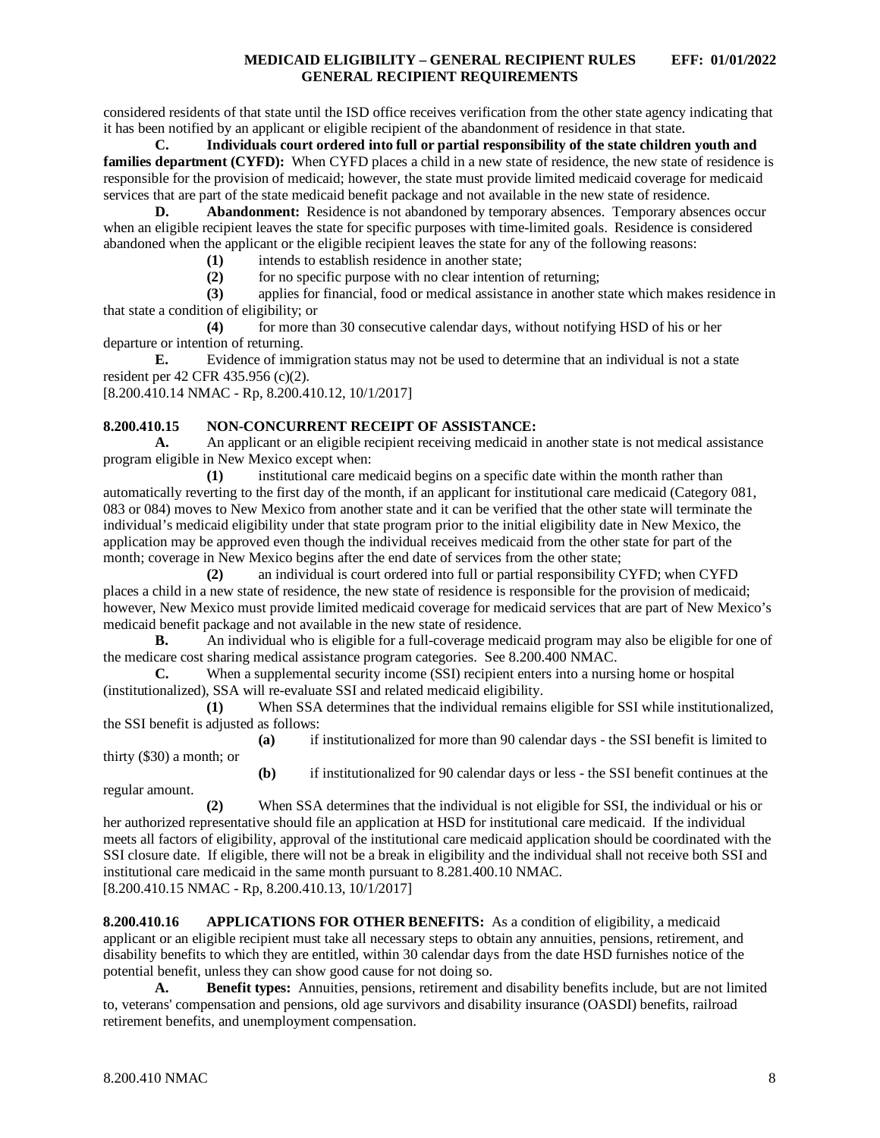considered residents of that state until the ISD office receives verification from the other state agency indicating that it has been notified by an applicant or eligible recipient of the abandonment of residence in that state.

**C. Individuals court ordered into full or partial responsibility of the state children youth and families department (CYFD):** When CYFD places a child in a new state of residence, the new state of residence is responsible for the provision of medicaid; however, the state must provide limited medicaid coverage for medicaid services that are part of the state medicaid benefit package and not available in the new state of residence.

**D. Abandonment:** Residence is not abandoned by temporary absences. Temporary absences occur when an eligible recipient leaves the state for specific purposes with time-limited goals. Residence is considered abandoned when the applicant or the eligible recipient leaves the state for any of the following reasons:

**(1)** intends to establish residence in another state;

**(2)** for no specific purpose with no clear intention of returning;

**(3)** applies for financial, food or medical assistance in another state which makes residence in that state a condition of eligibility; or

**(4)** for more than 30 consecutive calendar days, without notifying HSD of his or her departure or intention of returning.

**E.** Evidence of immigration status may not be used to determine that an individual is not a state resident per 42 CFR 435.956 (c)(2).

[8.200.410.14 NMAC - Rp, 8.200.410.12, 10/1/2017]

# <span id="page-8-0"></span>**8.200.410.15 NON-CONCURRENT RECEIPT OF ASSISTANCE:**

**A.** An applicant or an eligible recipient receiving medicaid in another state is not medical assistance program eligible in New Mexico except when:

**(1)** institutional care medicaid begins on a specific date within the month rather than automatically reverting to the first day of the month, if an applicant for institutional care medicaid (Category 081, 083 or 084) moves to New Mexico from another state and it can be verified that the other state will terminate the individual's medicaid eligibility under that state program prior to the initial eligibility date in New Mexico, the application may be approved even though the individual receives medicaid from the other state for part of the month; coverage in New Mexico begins after the end date of services from the other state;

**(2)** an individual is court ordered into full or partial responsibility CYFD; when CYFD places a child in a new state of residence, the new state of residence is responsible for the provision of medicaid; however, New Mexico must provide limited medicaid coverage for medicaid services that are part of New Mexico's medicaid benefit package and not available in the new state of residence.

**B.** An individual who is eligible for a full-coverage medicaid program may also be eligible for one of the medicare cost sharing medical assistance program categories. See 8.200.400 NMAC.<br> **C.** When a supplemental security income (SSI) recipient enters into a nursi

When a supplemental security income (SSI) recipient enters into a nursing home or hospital (institutionalized), SSA will re-evaluate SSI and related medicaid eligibility.

**(1)** When SSA determines that the individual remains eligible for SSI while institutionalized, the SSI benefit is adjusted as follows:

**(a)** if institutionalized for more than 90 calendar days - the SSI benefit is limited to thirty (\$30) a month; or

**(b)** if institutionalized for 90 calendar days or less - the SSI benefit continues at the regular amount.

**(2)** When SSA determines that the individual is not eligible for SSI, the individual or his or her authorized representative should file an application at HSD for institutional care medicaid. If the individual meets all factors of eligibility, approval of the institutional care medicaid application should be coordinated with the SSI closure date. If eligible, there will not be a break in eligibility and the individual shall not receive both SSI and institutional care medicaid in the same month pursuant to 8.281.400.10 NMAC. [8.200.410.15 NMAC - Rp, 8.200.410.13, 10/1/2017]

<span id="page-8-1"></span>**8.200.410.16 APPLICATIONS FOR OTHER BENEFITS:** As a condition of eligibility, a medicaid applicant or an eligible recipient must take all necessary steps to obtain any annuities, pensions, retirement, and disability benefits to which they are entitled, within 30 calendar days from the date HSD furnishes notice of the potential benefit, unless they can show good cause for not doing so.

**A. Benefit types:** Annuities, pensions, retirement and disability benefits include, but are not limited to, veterans' compensation and pensions, old age survivors and disability insurance (OASDI) benefits, railroad retirement benefits, and unemployment compensation.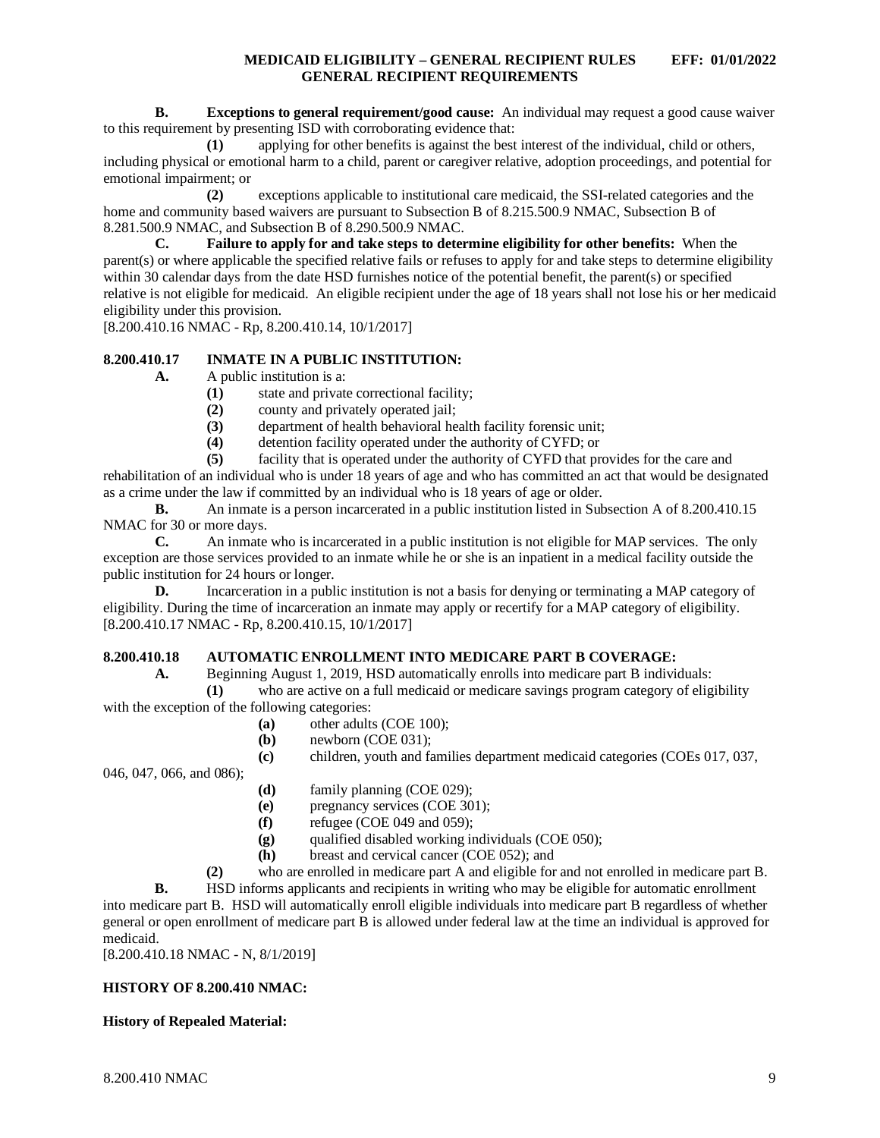**B. Exceptions to general requirement/good cause:** An individual may request a good cause waiver to this requirement by presenting ISD with corroborating evidence that:

**(1)** applying for other benefits is against the best interest of the individual, child or others, including physical or emotional harm to a child, parent or caregiver relative, adoption proceedings, and potential for emotional impairment; or

**(2)** exceptions applicable to institutional care medicaid, the SSI-related categories and the home and community based waivers are pursuant to Subsection B of 8.215.500.9 NMAC, Subsection B of 8.281.500.9 NMAC, and Subsection B of 8.290.500.9 NMAC.<br> **C.** Failure to apply for and take steps to deter

**C. Failure to apply for and take steps to determine eligibility for other benefits:** When the parent(s) or where applicable the specified relative fails or refuses to apply for and take steps to determine eligibility within 30 calendar days from the date HSD furnishes notice of the potential benefit, the parent(s) or specified relative is not eligible for medicaid. An eligible recipient under the age of 18 years shall not lose his or her medicaid eligibility under this provision.

[8.200.410.16 NMAC - Rp, 8.200.410.14, 10/1/2017]

## <span id="page-9-0"></span>**8.200.410.17 INMATE IN A PUBLIC INSTITUTION:**

**A.** A public institution is a:

- **(1)** state and private correctional facility;
- **(2)** county and privately operated jail;
- (3) department of health behavioral health facility forensic unit;<br>(4) detention facility operated under the authority of CYFD; or
- **(4)** detention facility operated under the authority of CYFD; or

**(5)** facility that is operated under the authority of CYFD that provides for the care and rehabilitation of an individual who is under 18 years of age and who has committed an act that would be designated as a crime under the law if committed by an individual who is 18 years of age or older.

**B.** An inmate is a person incarcerated in a public institution listed in Subsection A of 8.200.410.15 NMAC for 30 or more days.

**C.** An inmate who is incarcerated in a public institution is not eligible for MAP services. The only exception are those services provided to an inmate while he or she is an inpatient in a medical facility outside the public institution for 24 hours or longer.

**D.** Incarceration in a public institution is not a basis for denying or terminating a MAP category of eligibility. During the time of incarceration an inmate may apply or recertify for a MAP category of eligibility. [8.200.410.17 NMAC - Rp, 8.200.410.15, 10/1/2017]

### <span id="page-9-1"></span>**8.200.410.18 AUTOMATIC ENROLLMENT INTO MEDICARE PART B COVERAGE:**

**A.** Beginning August 1, 2019, HSD automatically enrolls into medicare part B individuals:

**(1)** who are active on a full medicaid or medicare savings program category of eligibility with the exception of the following categories:

- **(a)** other adults (COE 100);
- **(b)** newborn (COE 031);
- **(c)** children, youth and families department medicaid categories (COEs 017, 037,

046, 047, 066, and 086);

- **(d)** family planning (COE 029);
- **(e)** pregnancy services (COE 301);
- **(f)** refugee (COE 049 and 059);
- **(g)** qualified disabled working individuals (COE 050);
- **(h)** breast and cervical cancer (COE 052); and

**(2)** who are enrolled in medicare part A and eligible for and not enrolled in medicare part B.

**B.** HSD informs applicants and recipients in writing who may be eligible for automatic enrollment into medicare part B. HSD will automatically enroll eligible individuals into medicare part B regardless of whether general or open enrollment of medicare part B is allowed under federal law at the time an individual is approved for medicaid.

[8.200.410.18 NMAC - N, 8/1/2019]

### **HISTORY OF 8.200.410 NMAC:**

### **History of Repealed Material:**